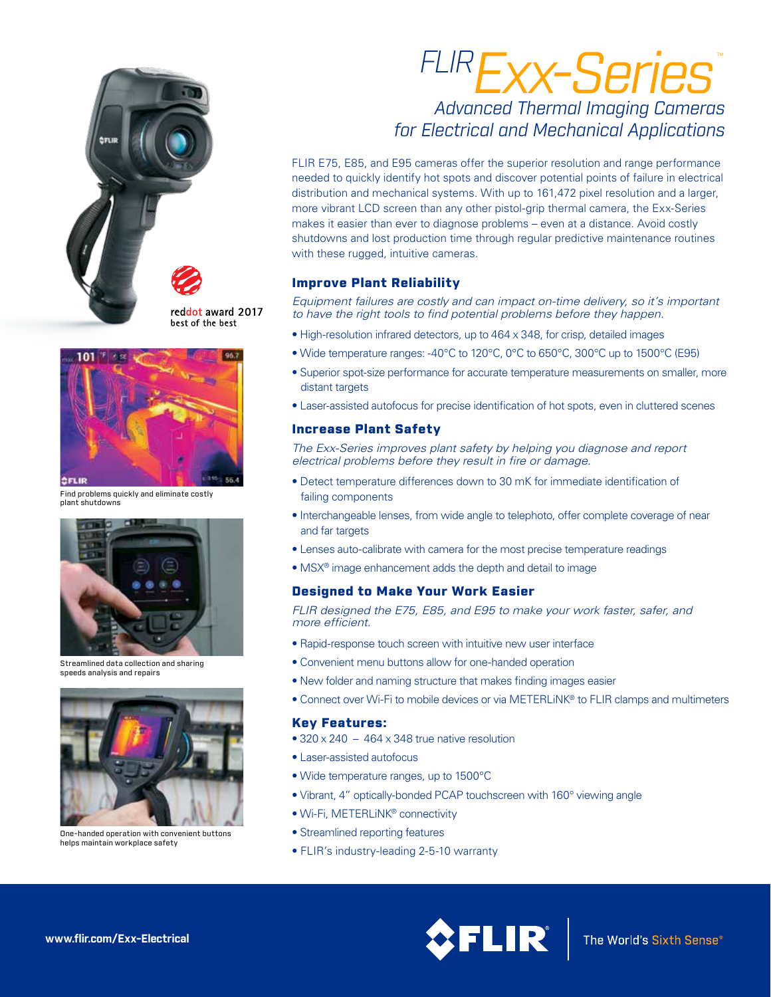

reddot award 2017 best of the best



Find problems quickly and eliminate costly plant shutdowns



Streamlined data collection and sharing speeds analysis and repairs



One-handed operation with convenient buttons helps maintain workplace safety

# *FLIRExx-Series*™ *Advanced Thermal Imaging Cameras for Electrical and Mechanical Applications*

FLIR E75, E85, and E95 cameras offer the superior resolution and range performance needed to quickly identify hot spots and discover potential points of failure in electrical distribution and mechanical systems. With up to 161,472 pixel resolution and a larger, more vibrant LCD screen than any other pistol-grip thermal camera, the Exx-Series makes it easier than ever to diagnose problems – even at a distance. Avoid costly shutdowns and lost production time through regular predictive maintenance routines with these rugged, intuitive cameras.

# Improve Plant Reliability

*Equipment failures are costly and can impact on-time delivery, so it's important to have the right tools to find potential problems before they happen.*

- High-resolution infrared detectors, up to 464 x 348, for crisp, detailed images
- Wide temperature ranges: -40°C to 120°C, 0°C to 650°C, 300°C up to 1500°C (E95)
- Superior spot-size performance for accurate temperature measurements on smaller, more distant targets
- Laser-assisted autofocus for precise identification of hot spots, even in cluttered scenes

# Increase Plant Safety

*The Exx-Series improves plant safety by helping you diagnose and report electrical problems before they result in fire or damage.* 

- Detect temperature differences down to 30 mK for immediate identification of failing components
- Interchangeable lenses, from wide angle to telephoto, offer complete coverage of near and far targets
- Lenses auto-calibrate with camera for the most precise temperature readings
- MSX® image enhancement adds the depth and detail to image

# Designed to Make Your Work Easier

*FLIR designed the E75, E85, and E95 to make your work faster, safer, and more efficient.*

- Rapid-response touch screen with intuitive new user interface
- Convenient menu buttons allow for one-handed operation
- New folder and naming structure that makes finding images easier
- Connect over Wi-Fi to mobile devices or via METERLiNK® to FLIR clamps and multimeters

# Key Features:

- $\bullet$  320 x 240 464 x 348 true native resolution
- Laser-assisted autofocus
- Wide temperature ranges, up to 1500°C
- Vibrant, 4" optically-bonded PCAP touchscreen with 160° viewing angle
- Wi-Fi, METERLiNK® connectivity
- Streamlined reporting features
- FLIR's industry-leading 2-5-10 warranty

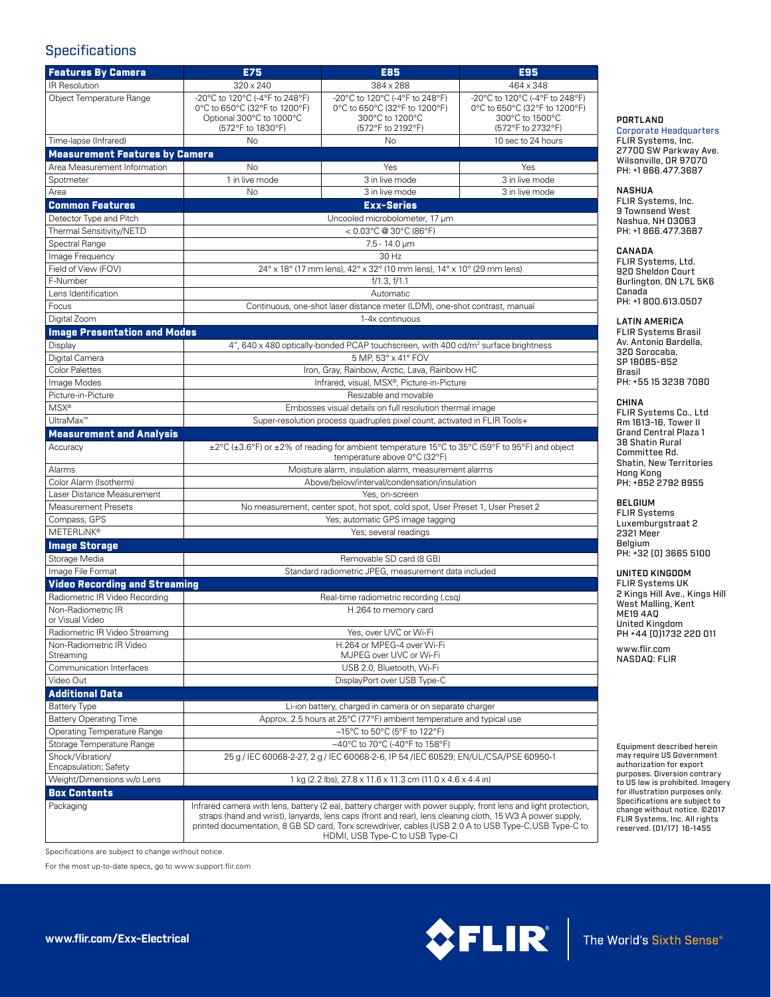# **Specifications**

| <b>Features By Camera</b>                 | <b>E75</b>                                                                                     | E85                                                                                                                                                                                                                                                                                                                                                                     | E95                                                                          |
|-------------------------------------------|------------------------------------------------------------------------------------------------|-------------------------------------------------------------------------------------------------------------------------------------------------------------------------------------------------------------------------------------------------------------------------------------------------------------------------------------------------------------------------|------------------------------------------------------------------------------|
| IR Resolution                             |                                                                                                |                                                                                                                                                                                                                                                                                                                                                                         |                                                                              |
| Object Temperature Range                  | $320 \times 240$<br>-20°C to 120°C (-4°F to 248°F)<br>0°C to 650°C (32°F to 1200°F)            | 384 x 288<br>-20°C to 120°C (-4°F to 248°F)<br>0°C to 650°C (32°F to 1200°F)                                                                                                                                                                                                                                                                                            | 464 x 348<br>-20°C to 120°C (-4°F to 248°F)<br>0°C to 650°C (32°F to 1200°F) |
|                                           | Optional 300°C to 1000°C<br>(572°F to 1830°F)                                                  | 300°C to 1200°C<br>(572°F to 2192°F)                                                                                                                                                                                                                                                                                                                                    | 300°C to 1500°C<br>(572°F to 2732°F)                                         |
| Time-lapse (Infrared)                     | <b>No</b>                                                                                      | <b>No</b>                                                                                                                                                                                                                                                                                                                                                               | 10 sec to 24 hours                                                           |
| <b>Measurement Features by Camera</b>     |                                                                                                |                                                                                                                                                                                                                                                                                                                                                                         |                                                                              |
| Area Measurement Information              | <b>No</b>                                                                                      | Yes                                                                                                                                                                                                                                                                                                                                                                     | Yes                                                                          |
| Spotmeter                                 | 1 in live mode                                                                                 | 3 in live mode                                                                                                                                                                                                                                                                                                                                                          | 3 in live mode                                                               |
| Area                                      | <b>No</b>                                                                                      | 3 in live mode                                                                                                                                                                                                                                                                                                                                                          | 3 in live mode                                                               |
| <b>Common Features</b>                    | <b>Exx-Series</b>                                                                              |                                                                                                                                                                                                                                                                                                                                                                         |                                                                              |
| Detector Type and Pitch                   | Uncooled microbolometer, 17 µm                                                                 |                                                                                                                                                                                                                                                                                                                                                                         |                                                                              |
| Thermal Sensitivity/NETD                  | $< 0.03$ °C @ 30°C (86°F)                                                                      |                                                                                                                                                                                                                                                                                                                                                                         |                                                                              |
| Spectral Range                            | $7.5 - 14.0 \,\mu m$                                                                           |                                                                                                                                                                                                                                                                                                                                                                         |                                                                              |
| Image Frequency                           | 30 Hz                                                                                          |                                                                                                                                                                                                                                                                                                                                                                         |                                                                              |
| Field of View (FOV)                       | 24° x 18° (17 mm lens), 42° x 32° (10 mm lens), 14° x 10° (29 mm lens)                         |                                                                                                                                                                                                                                                                                                                                                                         |                                                                              |
| F-Number                                  | f/1.3, f/1.1                                                                                   |                                                                                                                                                                                                                                                                                                                                                                         |                                                                              |
| Lens Identification                       | Automatic                                                                                      |                                                                                                                                                                                                                                                                                                                                                                         |                                                                              |
| Focus                                     | Continuous, one-shot laser distance meter (LDM), one-shot contrast, manual                     |                                                                                                                                                                                                                                                                                                                                                                         |                                                                              |
| Digital Zoom                              | 1-4x continuous                                                                                |                                                                                                                                                                                                                                                                                                                                                                         |                                                                              |
| <b>Image Presentation and Modes</b>       |                                                                                                |                                                                                                                                                                                                                                                                                                                                                                         |                                                                              |
| Display                                   | 4", 640 x 480 optically-bonded PCAP touchscreen, with 400 cd/m <sup>2</sup> surface brightness |                                                                                                                                                                                                                                                                                                                                                                         |                                                                              |
| Digital Camera                            | 5 MP, 53° x 41° FOV                                                                            |                                                                                                                                                                                                                                                                                                                                                                         |                                                                              |
| <b>Color Palettes</b>                     | Iron, Gray, Rainbow, Arctic, Lava, Rainbow HC                                                  |                                                                                                                                                                                                                                                                                                                                                                         |                                                                              |
| Image Modes                               | Infrared, visual, MSX®, Picture-in-Picture                                                     |                                                                                                                                                                                                                                                                                                                                                                         |                                                                              |
| Picture-in-Picture                        | Resizable and movable                                                                          |                                                                                                                                                                                                                                                                                                                                                                         |                                                                              |
| <b>MSX®</b>                               | Embosses visual details on full resolution thermal image                                       |                                                                                                                                                                                                                                                                                                                                                                         |                                                                              |
| UltraMax <sup>™</sup>                     | Super-resolution process quadruples pixel count, activated in FLIR Tools+                      |                                                                                                                                                                                                                                                                                                                                                                         |                                                                              |
| <b>Measurement and Analysis</b>           |                                                                                                |                                                                                                                                                                                                                                                                                                                                                                         |                                                                              |
| Accuracy                                  |                                                                                                | ±2°C (±3.6°F) or ±2% of reading for ambient temperature 15°C to 35°C (59°F to 95°F) and object                                                                                                                                                                                                                                                                          |                                                                              |
|                                           | temperature above 0°C (32°F)                                                                   |                                                                                                                                                                                                                                                                                                                                                                         |                                                                              |
| Alarms                                    | Moisture alarm, insulation alarm, measurement alarms                                           |                                                                                                                                                                                                                                                                                                                                                                         |                                                                              |
| Color Alarm (Isotherm)                    | Above/below/interval/condensation/insulation                                                   |                                                                                                                                                                                                                                                                                                                                                                         |                                                                              |
| Laser Distance Measurement                | Yes, on-screen                                                                                 |                                                                                                                                                                                                                                                                                                                                                                         |                                                                              |
| <b>Measurement Presets</b>                | No measurement, center spot, hot spot, cold spot, User Preset 1, User Preset 2                 |                                                                                                                                                                                                                                                                                                                                                                         |                                                                              |
| Compass, GPS                              | Yes; automatic GPS image tagging                                                               |                                                                                                                                                                                                                                                                                                                                                                         |                                                                              |
| <b>METERLINK®</b>                         | Yes; several readings                                                                          |                                                                                                                                                                                                                                                                                                                                                                         |                                                                              |
| <b>Image Storage</b>                      |                                                                                                |                                                                                                                                                                                                                                                                                                                                                                         |                                                                              |
| Storage Media                             | Removable SD card (8 GB)                                                                       |                                                                                                                                                                                                                                                                                                                                                                         |                                                                              |
| Image File Format                         | Standard radiometric JPEG, measurement data included                                           |                                                                                                                                                                                                                                                                                                                                                                         |                                                                              |
| <b>Video Recording and Streaming</b>      |                                                                                                |                                                                                                                                                                                                                                                                                                                                                                         |                                                                              |
| Radiometric IR Video Recording            |                                                                                                | Real-time radiometric recording (.csg)                                                                                                                                                                                                                                                                                                                                  |                                                                              |
| Non-Radiometric IR<br>or Visual Video     |                                                                                                | H.264 to memory card                                                                                                                                                                                                                                                                                                                                                    |                                                                              |
| Radiometric IR Video Streaming            | Yes, over UVC or Wi-Fi                                                                         |                                                                                                                                                                                                                                                                                                                                                                         |                                                                              |
| Non-Radiometric IR Video                  | H.264 or MPEG-4 over Wi-Fi                                                                     |                                                                                                                                                                                                                                                                                                                                                                         |                                                                              |
| Streaming                                 | MJPEG over UVC or Wi-Fi                                                                        |                                                                                                                                                                                                                                                                                                                                                                         |                                                                              |
| Communication Interfaces                  | USB 2.0, Bluetooth, Wi-Fi                                                                      |                                                                                                                                                                                                                                                                                                                                                                         |                                                                              |
| Video Out                                 | DisplayPort over USB Type-C                                                                    |                                                                                                                                                                                                                                                                                                                                                                         |                                                                              |
| <b>Additional Data</b>                    |                                                                                                |                                                                                                                                                                                                                                                                                                                                                                         |                                                                              |
| <b>Battery Type</b>                       |                                                                                                | Li-ion battery, charged in camera or on separate charger                                                                                                                                                                                                                                                                                                                |                                                                              |
| <b>Battery Operating Time</b>             | Approx. 2.5 hours at 25°C (77°F) ambient temperature and typical use                           |                                                                                                                                                                                                                                                                                                                                                                         |                                                                              |
| <b>Operating Temperature Range</b>        | $-15^{\circ}$ C to 50 $^{\circ}$ C (5 $^{\circ}$ F to 122 $^{\circ}$ F)                        |                                                                                                                                                                                                                                                                                                                                                                         |                                                                              |
| Storage Temperature Range                 | -40°C to 70°C (-40°F to 158°F)                                                                 |                                                                                                                                                                                                                                                                                                                                                                         |                                                                              |
| Shock/Vibration/<br>Encapsulation; Safety | 25 g / IEC 60068-2-27, 2 g / IEC 60068-2-6, IP 54 / IEC 60529; EN/UL/CSA/PSE 60950-1           |                                                                                                                                                                                                                                                                                                                                                                         |                                                                              |
| Weight/Dimensions w/o Lens                |                                                                                                | 1 kg (2.2 lbs), 27.8 x 11.6 x 11.3 cm (11.0 x 4.6 x 4.4 in)                                                                                                                                                                                                                                                                                                             |                                                                              |
| <b>Box Contents</b>                       |                                                                                                |                                                                                                                                                                                                                                                                                                                                                                         |                                                                              |
| Packaging                                 |                                                                                                | Infrared camera with lens, battery (2 ea), battery charger with power supply, front lens and light protection,<br>straps (hand and wrist), lanyards, lens caps (front and rear), lens cleaning cloth, 15 W3 A power supply,<br>printed documentation, 8 GB SD card, Torx screwdriver, cables (USB 2.0 A to USB Type-C, USB Type-C to<br>HDMI, USB Type-C to USB Type-C) |                                                                              |

# PORTLAND

Corporate Headquarters FLIR Systems, Inc. 27700 SW Parkway Ave. Wilsonville, OR 97070 PH: +1 866.477.3687

#### NASHUA

FLIR Systems, Inc. 9 Townsend West Nashua, NH 03063 PH: +1 866.477.3687

#### CANADA

FLIR Systems, Ltd. 920 Sheldon Court Burlington, ON L7L 5K6 Canada PH: +1 800.613.0507

#### LATIN AMERICA

FLIR Systems Brasil Av. Antonio Bardella, 320 Sorocaba, SP 18085-852 Brasil PH: +55 15 3238 7080

CHINA FLIR Systems Co., Ltd Rm 1613-16, Tower II Grand Central Plaza 1 38 Shatin Rural Committee Rd. Shatin, New Territories Hong Kong PH: +852 2792 8955

# BELGIUM

FLIR Systems Luxemburgstraat 2 2321 Meer Belgium PH: +32 (0) 3665 5100

### UNITED KINGDOM

www.flir.com FLIR Systems UK 2 Kings Hill Ave., Kings Hill West Malling, Kent ME19 4AQ United Kingdom PH +44 (0)1732 220 011

NASDAQ: FLIR

Equipment described herein may require US Government authorization for export purposes. Diversion contrary to US law is prohibited. Imagery for illustration purposes only. Specifications are subject to change without notice. ©2017 FLIR Systems, Inc. All rights reserved. (01/17) 16-1455

Specifications are subject to change without notice.

For the most up-to-date specs, go to www.support.flir.com